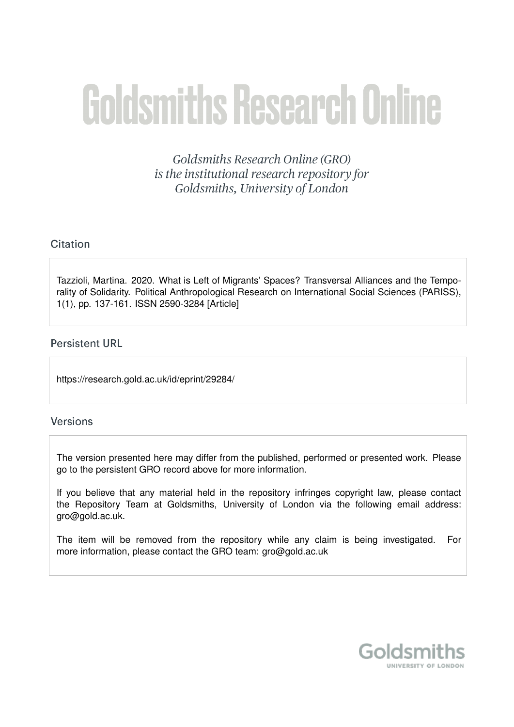# **Goldsmiths Research Online**

Goldsmiths Research Online (GRO) is the institutional research repository for Goldsmiths, University of London

# Citation

Tazzioli, Martina. 2020. What is Left of Migrants' Spaces? Transversal Alliances and the Temporality of Solidarity. Political Anthropological Research on International Social Sciences (PARISS), 1(1), pp. 137-161. ISSN 2590-3284 [Article]

## **Persistent URL**

https://research.gold.ac.uk/id/eprint/29284/

#### **Versions**

The version presented here may differ from the published, performed or presented work. Please go to the persistent GRO record above for more information.

If you believe that any material held in the repository infringes copyright law, please contact the Repository Team at Goldsmiths, University of London via the following email address: gro@gold.ac.uk.

The item will be removed from the repository while any claim is being investigated. For more information, please contact the GRO team: gro@gold.ac.uk

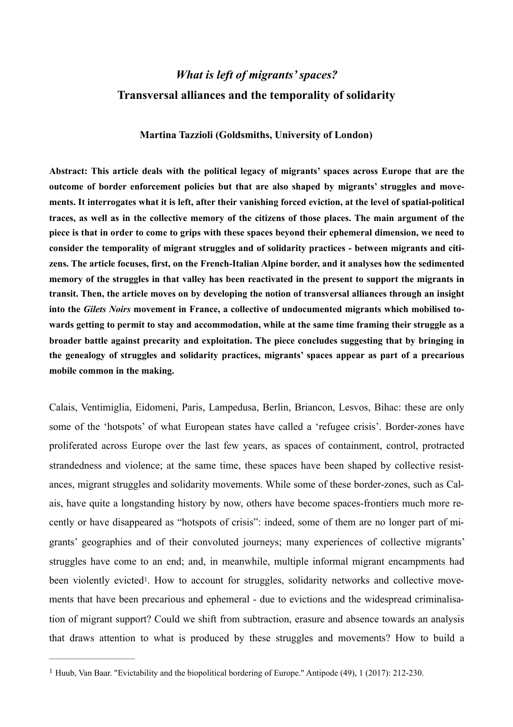# *What is left of migrants' spaces?*  **Transversal alliances and the temporality of solidarity**

#### **Martina Tazzioli (Goldsmiths, University of London)**

**Abstract: This article deals with the political legacy of migrants' spaces across Europe that are the outcome of border enforcement policies but that are also shaped by migrants' struggles and movements. It interrogates what it is left, after their vanishing forced eviction, at the level of spatial-political traces, as well as in the collective memory of the citizens of those places. The main argument of the piece is that in order to come to grips with these spaces beyond their ephemeral dimension, we need to consider the temporality of migrant struggles and of solidarity practices - between migrants and citizens. The article focuses, first, on the French-Italian Alpine border, and it analyses how the sedimented memory of the struggles in that valley has been reactivated in the present to support the migrants in transit. Then, the article moves on by developing the notion of transversal alliances through an insight into the** *Gilets Noirs* **movement in France, a collective of undocumented migrants which mobilised towards getting to permit to stay and accommodation, while at the same time framing their struggle as a broader battle against precarity and exploitation. The piece concludes suggesting that by bringing in the genealogy of struggles and solidarity practices, migrants' spaces appear as part of a precarious mobile common in the making.** 

Calais, Ventimiglia, Eidomeni, Paris, Lampedusa, Berlin, Briancon, Lesvos, Bihac: these are only some of the 'hotspots' of what European states have called a 'refugee crisis'. Border-zones have proliferated across Europe over the last few years, as spaces of containment, control, protracted strandedness and violence; at the same time, these spaces have been shaped by collective resistances, migrant struggles and solidarity movements. While some of these border-zones, such as Calais, have quite a longstanding history by now, others have become spaces-frontiers much more recently or have disappeared as "hotspots of crisis": indeed, some of them are no longer part of migrants' geographies and of their convoluted journeys; many experiences of collective migrants' struggles have come to an end; and, in meanwhile, multiple informal migrant encampments had been violently evicted<sup>1</sup>. How to account for struggles, solidarity networks and collective movements that have been precarious and ephemeral - due to evictions and the widespread criminalisation of migrant support? Could we shift from subtraction, erasure and absence towards an analysis that draws attention to what is produced by these struggles and movements? How to build a

<span id="page-1-1"></span><span id="page-1-0"></span><sup>&</sup>lt;sup>[1](#page-1-1)</sup> Huub, Van Baar. "Evictability and the biopolitical bordering of Europe." Antipode (49), 1 (2017): 212-230.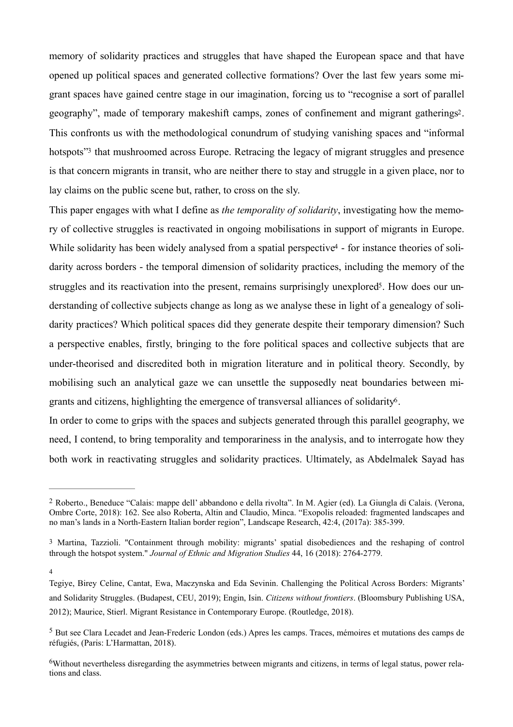<span id="page-2-5"></span>memory of solidarity practices and struggles that have shaped the European space and that have opened up political spaces and generated collective formations? Over the last few years some migrant spaces have gained centre stage in our imagination, forcing us to "recognise a sort of parallel geography", made of temporary makeshift camps, zones of confinement and migrant gathering[s2](#page-2-0). This confronts us with the methodological conundrum of studying vanishing spaces and "informal hotspots<sup>[3](#page-2-1)3</sup> that mushroomed across Europe. Retracing the legacy of migrant struggles and presence is that concern migrants in transit, who are neither there to stay and struggle in a given place, nor to lay claims on the public scene but, rather, to cross on the sly.

<span id="page-2-8"></span><span id="page-2-7"></span><span id="page-2-6"></span>This paper engages with what I define as *the temporality of solidarity*, investigating how the memory of collective struggles is reactivated in ongoing mobilisations in support of migrants in Europe. Whil[e](#page-2-2) solidarity has been widely analysed from a spatial perspective<sup>4</sup> - for instance theories of solidarity across borders - the temporal dimension of solidarity practices, including the memory of the struggles and its reactivation into the present, remains surprisingly unexplored<sup>5</sup>. How does our understanding of collective subjects change as long as we analyse these in light of a genealogy of solidarity practices? Which political spaces did they generate despite their temporary dimension? Such a perspective enables, firstly, bringing to the fore political spaces and collective subjects that are under-theorised and discredited both in migration literature and in political theory. Secondly, by mobilising such an analytical gaze we can unsettle the supposedly neat boundaries between migrants and citizens, highlighting the emergence of transversal alliances of solidarity<sup> $6$ </sup>.

<span id="page-2-9"></span>In order to come to grips with the spaces and subjects generated through this parallel geography, we need, I contend, to bring temporality and temporariness in the analysis, and to interrogate how they both work in reactivating struggles and solidarity practices. Ultimately, as Abdelmalek Sayad has

<span id="page-2-0"></span>Roberto., Beneduce "Calais: mappe dell' abbandono e della rivolta". In M. Agier (ed). La Giungla di Calais. (Verona, [2](#page-2-5) Ombre Corte, 2018): 162. See also Roberta, Altin and Claudio, Minca. "Exopolis reloaded: fragmented landscapes and no man's lands in a North-Eastern Italian border region", Landscape Research, 42:4, (2017a): 385-399.

<span id="page-2-1"></span>[<sup>3</sup>](#page-2-6) Martina, Tazzioli. "Containment through mobility: migrants' spatial disobediences and the reshaping of control through the hotspot system." *Journal of Ethnic and Migration Studies* 44, 16 (2018): 2764-2779.

<span id="page-2-2"></span>Tegiye, Birey Celine, Cantat, Ewa, Maczynska and Eda Sevinin. Challenging the Political Across Borders: Migrants' and Solidarity Struggles. (Budapest, CEU, 2019); Engin, Isin. *Citizens without frontiers*. (Bloomsbury Publishing USA, 2012); Maurice, Stierl. Migrant Resistance in Contemporary Europe. (Routledge, 2018).

<span id="page-2-3"></span><sup>&</sup>lt;sup>[5](#page-2-8)</sup> But see Clara Lecadet and Jean-Frederic London (eds.) Apres les camps. Traces, mémoires et mutations des camps de réfugiés, (Paris: L'Harmattan, 2018).

<span id="page-2-4"></span><sup>&</sup>lt;sup>[6](#page-2-9)</sup>Without nevertheless disregarding the asymmetries between migrants and citizens, in terms of legal status, power relations and class.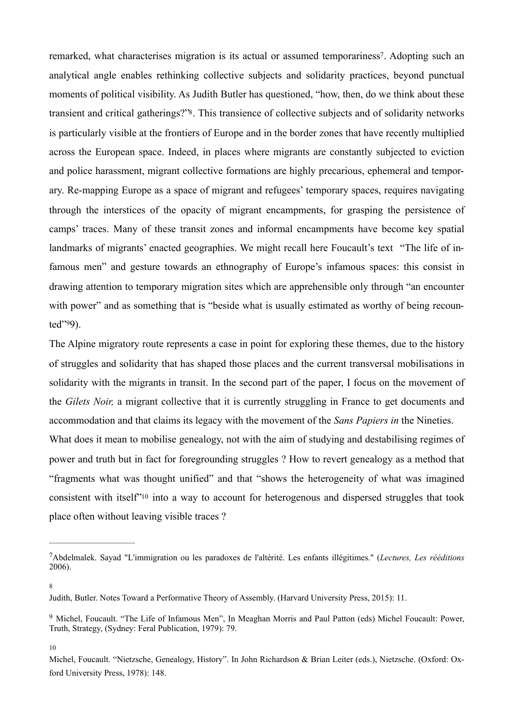<span id="page-3-5"></span><span id="page-3-4"></span>remarked, what characterises migration is its actual or assumed temporariness<sup>[7](#page-3-0)</sup>. Adopting such an analytical angle enables rethinking collective subjects and solidarity practices, beyond punctual moments of political visibility. As Judith Butler has questioned, "how, then, do we think about these transient and critical gatherings?["8](#page-3-1). This transience of collective subjects and of solidarity networks is particularly visible at the frontiers of Europe and in the border zones that have recently multiplied across the European space. Indeed, in places where migrants are constantly subjected to eviction and police harassment, migrant collective formations are highly precarious, ephemeral and temporary. Re-mapping Europe as a space of migrant and refugees' temporary spaces, requires navigating through the interstices of the opacity of migrant encampments, for grasping the persistence of camps' traces. Many of these transit zones and informal encampments have become key spatial landmarks of migrants' enacted geographies. We might recall here Foucault's text "The life of infamous men" and gesture towards an ethnography of Europe's infamous spaces: this consist in drawing attention to temporary migration sites which are apprehensible only through "an encounter with power" and as something that is "beside what is usually estimated as worthy of being recoun $ted$ "[9](#page-3-2)9).

<span id="page-3-6"></span>The Alpine migratory route represents a case in point for exploring these themes, due to the history of struggles and solidarity that has shaped those places and the current transversal mobilisations in solidarity with the migrants in transit. In the second part of the paper, I focus on the movement of the *Gilets Noir,* a migrant collective that it is currently struggling in France to get documents and accommodation and that claims its legacy with the movement of the *Sans Papiers in* the Nineties. What does it mean to mobilise genealogy, not with the aim of studying and destabilising regimes of power and truth but in fact for foregrounding struggles ? How to revert genealogy as a method that "fragments what was thought unified" and that "shows the heterogeneity of what was imagined

<span id="page-3-7"></span>consistent with itself["10](#page-3-3) into a way to account for heterogenous and dispersed struggles that took place often without leaving visible traces ?

<span id="page-3-1"></span>[8](#page-3-5)

<span id="page-3-0"></span>Abdelmalek. Sayad "L'immigration ou les paradoxes de l'altérité. Les enfants illégitimes." (*Lectures, Les rééditions* [7](#page-3-4) 2006).

Judith, Butler. Notes Toward a Performative Theory of Assembly. (Harvard University Press, 2015): 11.

<span id="page-3-2"></span><sup>&</sup>lt;sup>[9](#page-3-6)</sup> Michel, Foucault. "The Life of Infamous Men", In Meaghan Morris and Paul Patton (eds) Michel Foucault: Power, Truth, Strategy, (Sydney: Feral Publication, 1979): 79.

<span id="page-3-3"></span>Michel, Foucault. "Nietzsche, Genealogy, History". In John Richardson & Brian Leiter (eds.), Nietzsche. (Oxford: Oxford University Press, 1978): 148.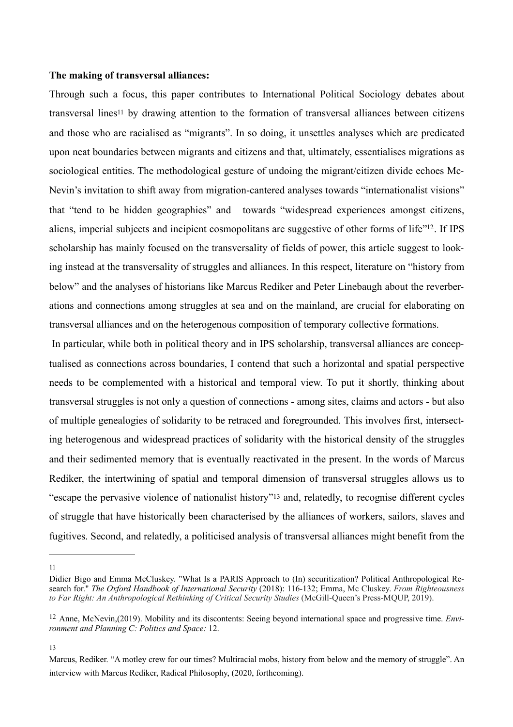#### **The making of transversal alliances:**

<span id="page-4-3"></span>Through such a focus, this paper contributes to International Political Sociology debates about transversal line[s11](#page-4-0) by drawing attention to the formation of transversal alliances between citizens and those who are racialised as "migrants". In so doing, it unsettles analyses which are predicated upon neat boundaries between migrants and citizens and that, ultimately, essentialises migrations as sociological entities. The methodological gesture of undoing the migrant/citizen divide echoes Mc-Nevin's invitation to shift away from migration-cantered analyses towards "internationalist visions" that "tend to be hidden geographies" and towards "widespread experiences amongst citizens, aliens, imperial subjects and incipient cosmopolitans are suggestive of other forms of life"<sup>[12](#page-4-1)</sup>. If IPS scholarship has mainly focused on the transversality of fields of power, this article suggest to looking instead at the transversality of struggles and alliances. In this respect, literature on "history from below" and the analyses of historians like Marcus Rediker and Peter Linebaugh about the reverberations and connections among struggles at sea and on the mainland, are crucial for elaborating on transversal alliances and on the heterogenous composition of temporary collective formations.

<span id="page-4-4"></span> In particular, while both in political theory and in IPS scholarship, transversal alliances are conceptualised as connections across boundaries, I contend that such a horizontal and spatial perspective needs to be complemented with a historical and temporal view. To put it shortly, thinking about transversal struggles is not only a question of connections - among sites, claims and actors - but also of multiple genealogies of solidarity to be retraced and foregrounded. This involves first, intersecting heterogenous and widespread practices of solidarity with the historical density of the struggles and their sedimented memory that is eventually reactivated in the present. In the words of Marcus Rediker, the intertwining of spatial and temporal dimension of transversal struggles allows us to "escape the pervasive violence of nationalist history"[13](#page-4-2) and, relatedly, to recognise different cycles of struggle that have historically been characterised by the alliances of workers, sailors, slaves and fugitives. Second, and relatedly, a politicised analysis of transversal alliances might benefit from the

<span id="page-4-5"></span><span id="page-4-0"></span>[11](#page-4-3)

Didier Bigo and Emma McCluskey. "What Is a PARIS Approach to (In) securitization? Political Anthropological Research for." *The Oxford Handbook of International Security* (2018): 116-132; Emma, Mc Cluskey. *From Righteousness to Far Right: An Anthropological Rethinking of Critical Security Studies* (McGill-Queen's Press-MQUP, 2019).

<span id="page-4-1"></span><sup>&</sup>lt;sup>[12](#page-4-4)</sup> Anne, McNevin,(2019). Mobility and its discontents: Seeing beyond international space and progressive time. *Envi ronment and Planning C: Politics and Space:* 12.

<span id="page-4-2"></span>Marcus, Rediker. "A motley crew for our times? Multiracial mobs, history from below and the memory of struggle". An interview with Marcus Rediker, Radical Philosophy, (2020, forthcoming).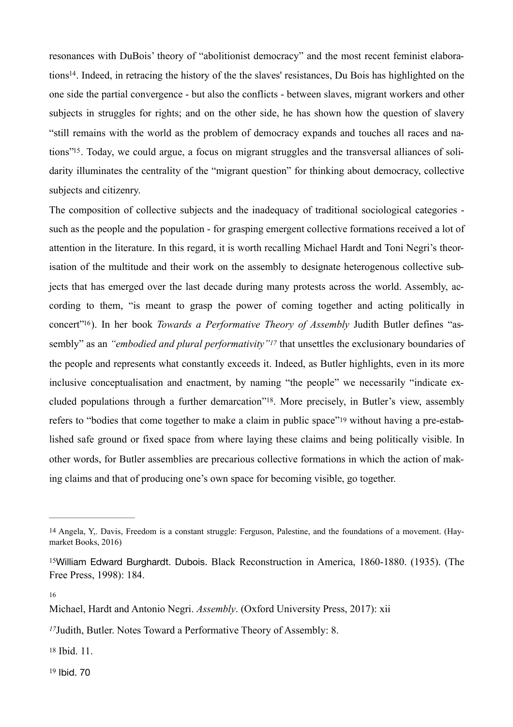<span id="page-5-6"></span>resonances with DuBois' theory of "abolitionist democracy" and the most recent feminist elabora- $tions<sup>14</sup>$  $tions<sup>14</sup>$  $tions<sup>14</sup>$ . Indeed, in retracing the history of the the slaves' resistances. Du Bois has highlighted on the one side the partial convergence - but also the conflicts - between slaves, migrant workers and other subjects in struggles for rights; and on the other side, he has shown how the question of slavery "still remains with the world as the problem of democracy expands and touches all races and na-tions"<sup>[15](#page-5-1)</sup>. Today, we could argue, a focus on migrant struggles and the transversal alliances of solidarity illuminates the centrality of the "migrant question" for thinking about democracy, collective subjects and citizenry.

<span id="page-5-9"></span><span id="page-5-8"></span><span id="page-5-7"></span>The composition of collective subjects and the inadequacy of traditional sociological categories such as the people and the population - for grasping emergent collective formations received a lot of attention in the literature. In this regard, it is worth recalling Michael Hardt and Toni Negri's theorisation of the multitude and their work on the assembly to designate heterogenous collective subjects that has emerged over the last decade during many protests across the world. Assembly, according to them, "is meant to grasp the power of coming together and acting politically in concert<sup>"[16](#page-5-2)</sup>). In her book *Towards a Performative Theory of Assembly* Judith Butler defines "assembly" as an *"embodied and plural performativity["17](#page-5-3)* that unsettles the exclusionary boundaries of the people and represents what constantly exceeds it. Indeed, as Butler highlights, even in its more inclusive conceptualisation and enactment, by naming "the people" we necessarily "indicate ex-cluded populations through a further demarcation<sup>''[18](#page-5-4)</sup>. More precisely, in Butler's view, assembly refers to "bodies that come together to make a claim in public space["19](#page-5-5) without having a pre-established safe ground or fixed space from where laying these claims and being politically visible. In other words, for Butler assemblies are precarious collective formations in which the action of making claims and that of producing one's own space for becoming visible, go together.

<span id="page-5-2"></span>[16](#page-5-8)

Michael, Hardt and Antonio Negri. *Assembly*. (Oxford University Press, 2017): xii

<span id="page-5-4"></span>[18](#page-5-10) Ibid. 11.

<span id="page-5-5"></span>[19](#page-5-11) Ibid. 70

<span id="page-5-11"></span><span id="page-5-10"></span><span id="page-5-0"></span>[<sup>14</sup>](#page-5-6) Angela, Y,. Davis, Freedom is a constant struggle: Ferguson, Palestine, and the foundations of a movement. (Haymarket Books, 2016)

<span id="page-5-1"></span><sup>&</sup>lt;sup>[15](#page-5-7)</sup>William Edward Burghardt. Dubois. Black Reconstruction in America, 1860-1880. (1935). (The Free Press, 1998): 184.

<span id="page-5-3"></span><sup>&</sup>lt;sup>[17](#page-5-9)</sup>Judith, Butler. Notes Toward a Performative Theory of Assembly: 8.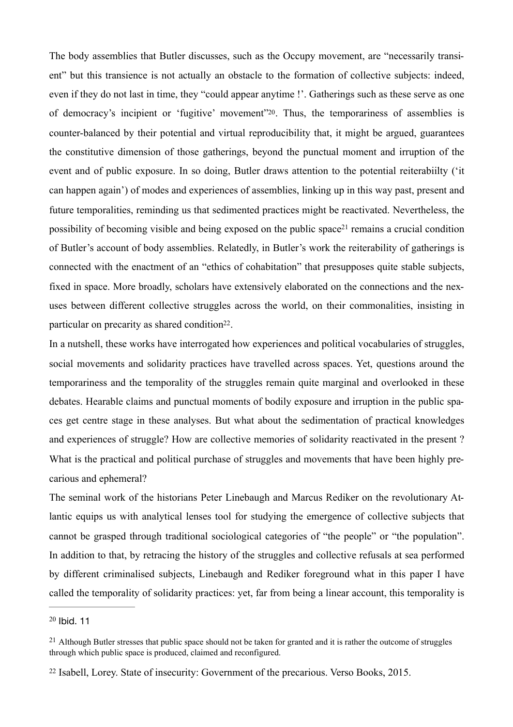<span id="page-6-3"></span>The body assemblies that Butler discusses, such as the Occupy movement, are "necessarily transient" but this transience is not actually an obstacle to the formation of collective subjects: indeed, even if they do not last in time, they "could appear anytime !'. Gatherings such as these serve as one of democracy's incipient or 'fugitive' movement["20](#page-6-0). Thus, the temporariness of assemblies is counter-balanced by their potential and virtual reproducibility that, it might be argued, guarantees the constitutive dimension of those gatherings, beyond the punctual moment and irruption of the event and of public exposure. In so doing, Butler draws attention to the potential reiterabiilty ('it can happen again') of modes and experiences of assemblies, linking up in this way past, present and future temporalities, reminding us that sedimented practices might be reactivated. Nevertheless, the possibility of b[e](#page-6-1)coming visible and being exposed on the public space<sup>[21](#page-6-1)</sup> remains a crucial condition of Butler's account of body assemblies. Relatedly, in Butler's work the reiterability of gatherings is connected with the enactment of an "ethics of cohabitation" that presupposes quite stable subjects, fixed in space. More broadly, scholars have extensively elaborated on the connections and the nexuses between different collective struggles across the world, on their commonalities, insisting in particular on precarity as shared condition $22$ .

<span id="page-6-5"></span><span id="page-6-4"></span>In a nutshell, these works have interrogated how experiences and political vocabularies of struggles, social movements and solidarity practices have travelled across spaces. Yet, questions around the temporariness and the temporality of the struggles remain quite marginal and overlooked in these debates. Hearable claims and punctual moments of bodily exposure and irruption in the public spaces get centre stage in these analyses. But what about the sedimentation of practical knowledges and experiences of struggle? How are collective memories of solidarity reactivated in the present ? What is the practical and political purchase of struggles and movements that have been highly precarious and ephemeral?

The seminal work of the historians Peter Linebaugh and Marcus Rediker on the revolutionary Atlantic equips us with analytical lenses tool for studying the emergence of collective subjects that cannot be grasped through traditional sociological categories of "the people" or "the population". In addition to that, by retracing the history of the struggles and collective refusals at sea performed by different criminalised subjects, Linebaugh and Rediker foreground what in this paper I have called the temporality of solidarity practices: yet, far from being a linear account, this temporality is

<span id="page-6-0"></span>[<sup>20</sup>](#page-6-3) Ibid. 11

<span id="page-6-1"></span> $21$  Although Butler stresses that public space should not be taken for granted and it is rather the outcome of struggles through which public space is produced, claimed and reconfigured.

<span id="page-6-2"></span><sup>&</sup>lt;sup>[22](#page-6-5)</sup> Isabell, Lorey. State of insecurity: Government of the precarious. Verso Books, 2015.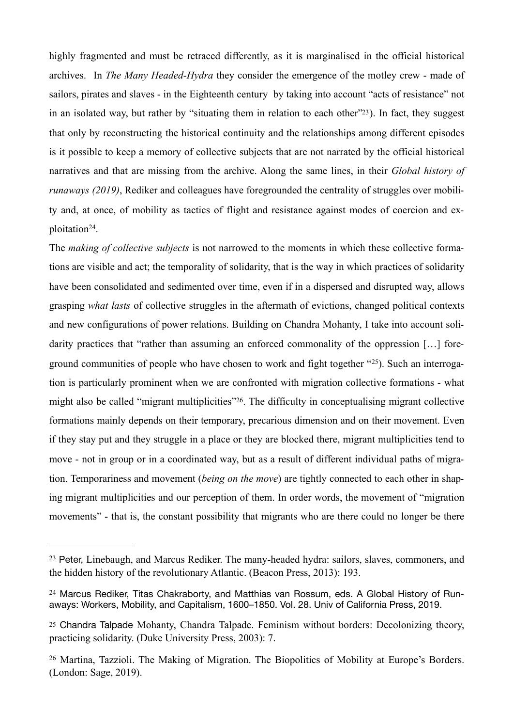<span id="page-7-4"></span>highly fragmented and must be retraced differently, as it is marginalised in the official historical archives. In *The Many Headed-Hydra* they consider the emergence of the motley crew - made of sailors, pirates and slaves - in the Eighteenth century by taking into account "acts of resistance" not in an isolated way, but rather by "situating them in relation to each other["23](#page-7-0)). In fact, they suggest that only by reconstructing the historical continuity and the relationships among different episodes is it possible to keep a memory of collective subjects that are not narrated by the official historical narratives and that are missing from the archive. Along the same lines, in their *Global history of runaways (2019)*, Rediker and colleagues have foregrounded the centrality of struggles over mobility and, at once, of mobility as tactics of flight and resistance against modes of coercion and ex-ploitation<sup>24</sup>[.](#page-7-1)

<span id="page-7-7"></span><span id="page-7-6"></span><span id="page-7-5"></span>The *making of collective subjects* is not narrowed to the moments in which these collective formations are visible and act; the temporality of solidarity, that is the way in which practices of solidarity have been consolidated and sedimented over time, even if in a dispersed and disrupted way, allows grasping *what lasts* of collective struggles in the aftermath of evictions, changed political contexts and new configurations of power relations. Building on Chandra Mohanty, I take into account solidarity practices that "rather than assuming an enforced commonality of the oppression […] fore-ground communities of people who have chosen to work and fight together "[25](#page-7-2)". Such an interrogation is particularly prominent when we are confronted with migration collective formations - what might also be called "migrant multiplicities"<sup>[26](#page-7-3)</sup>. The difficulty in conceptualising migrant collective formations mainly depends on their temporary, precarious dimension and on their movement. Even if they stay put and they struggle in a place or they are blocked there, migrant multiplicities tend to move - not in group or in a coordinated way, but as a result of different individual paths of migration. Temporariness and movement (*being on the move*) are tightly connected to each other in shaping migrant multiplicities and our perception of them. In order words, the movement of "migration movements" - that is, the constant possibility that migrants who are there could no longer be there

<span id="page-7-0"></span><sup>&</sup>lt;sup>[23](#page-7-4)</sup> Peter, Linebaugh, and Marcus Rediker. The many-headed hydra: sailors, slaves, commoners, and the hidden history of the revolutionary Atlantic. (Beacon Press, 2013): 193.

<span id="page-7-1"></span><sup>&</sup>lt;sup>[24](#page-7-5)</sup> Marcus Rediker, Titas Chakraborty, and Matthias van Rossum, eds. A Global History of Runaways: Workers, Mobility, and Capitalism, 1600–1850. Vol. 28. Univ of California Press, 2019.

<span id="page-7-2"></span>[<sup>25</sup>](#page-7-6) Chandra Talpade Mohanty, Chandra Talpade. Feminism without borders: Decolonizing theory, practicing solidarity. (Duke University Press, 2003): 7.

<span id="page-7-3"></span><sup>&</sup>lt;sup>[26](#page-7-7)</sup> Martina, Tazzioli. The Making of Migration. The Biopolitics of Mobility at Europe's Borders. (London: Sage, 2019).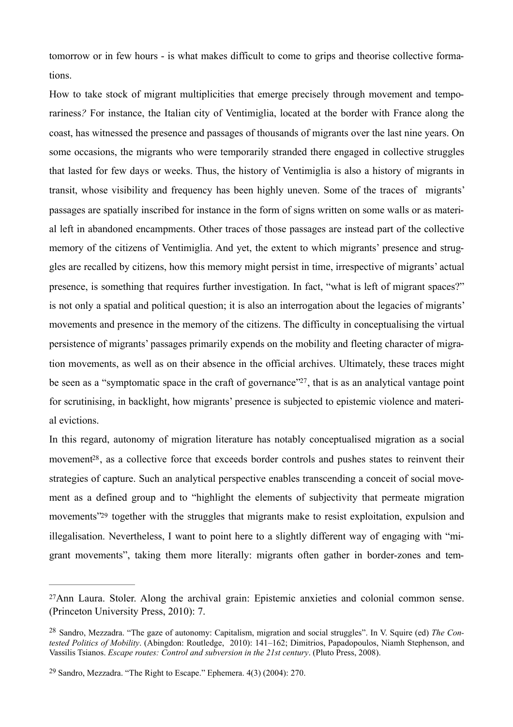tomorrow or in few hours - is what makes difficult to come to grips and theorise collective formations.

How to take stock of migrant multiplicities that emerge precisely through movement and temporariness*?* For instance, the Italian city of Ventimiglia, located at the border with France along the coast, has witnessed the presence and passages of thousands of migrants over the last nine years. On some occasions, the migrants who were temporarily stranded there engaged in collective struggles that lasted for few days or weeks. Thus, the history of Ventimiglia is also a history of migrants in transit, whose visibility and frequency has been highly uneven. Some of the traces of migrants' passages are spatially inscribed for instance in the form of signs written on some walls or as material left in abandoned encampments. Other traces of those passages are instead part of the collective memory of the citizens of Ventimiglia. And yet, the extent to which migrants' presence and struggles are recalled by citizens, how this memory might persist in time, irrespective of migrants' actual presence, is something that requires further investigation. In fact, "what is left of migrant spaces?" is not only a spatial and political question; it is also an interrogation about the legacies of migrants' movements and presence in the memory of the citizens. The difficulty in conceptualising the virtual persistence of migrants' passages primarily expends on the mobility and fleeting character of migration movements, as well as on their absence in the official archives. Ultimately, these traces might be seen as a "symptomatic space in the craft of governance" $27$ , that is as an analytical vantage point for scrutinising, in backlight, how migrants' presence is subjected to epistemic violence and material evictions.

<span id="page-8-5"></span><span id="page-8-4"></span><span id="page-8-3"></span>In this regard, autonomy of migration literature has notably conceptualised migration as a social movement<sup>[28](#page-8-1)</sup>, as a collective force that exceeds border controls and pushes states to reinvent their strategies of capture. Such an analytical perspective enables transcending a conceit of social movement as a defined group and to "highlight the elements of subjectivity that permeate migration movements["29](#page-8-2) together with the struggles that migrants make to resist exploitation, expulsion and illegalisation. Nevertheless, I want to point here to a slightly different way of engaging with "migrant movements", taking them more literally: migrants often gather in border-zones and tem-

<span id="page-8-0"></span><sup>&</sup>lt;sup>[27](#page-8-3)</sup>Ann Laura. Stoler. Along the archival grain: Epistemic anxieties and colonial common sense. (Princeton University Press, 2010): 7.

<span id="page-8-1"></span><sup>&</sup>lt;sup>[28](#page-8-4)</sup> Sandro, Mezzadra. "The gaze of autonomy: Capitalism, migration and social struggles". In V. Squire (ed) *The Contested Politics of Mobility*. (Abingdon: Routledge, 2010): 141–162; Dimitrios, Papadopoulos, Niamh Stephenson, and Vassilis Tsianos. *Escape routes: Control and subversion in the 21st century*. (Pluto Press, 2008).

<span id="page-8-2"></span><sup>&</sup>lt;sup>[29](#page-8-5)</sup> Sandro, Mezzadra. "The Right to Escape." Ephemera.  $4(3)$  (2004): 270.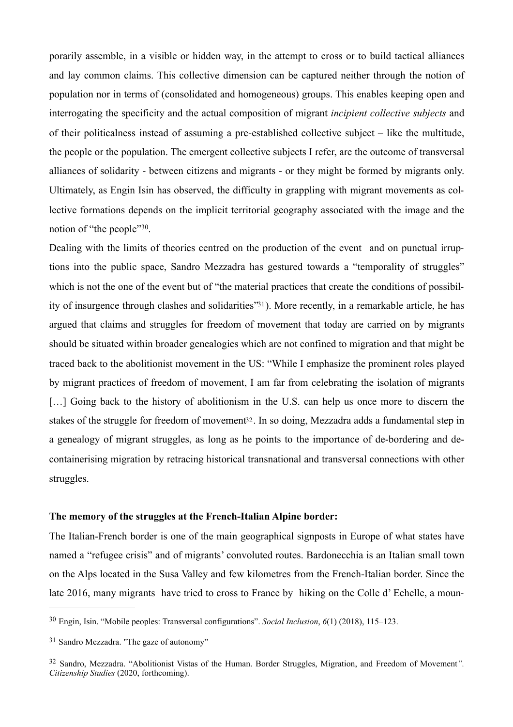porarily assemble, in a visible or hidden way, in the attempt to cross or to build tactical alliances and lay common claims. This collective dimension can be captured neither through the notion of population nor in terms of (consolidated and homogeneous) groups. This enables keeping open and interrogating the specificity and the actual composition of migrant *incipient collective subjects* and of their politicalness instead of assuming a pre-established collective subject – like the multitude, the people or the population. The emergent collective subjects I refer, are the outcome of transversal alliances of solidarity - between citizens and migrants - or they might be formed by migrants only. Ultimately, as Engin Isin has observed, the difficulty in grappling with migrant movements as collective formations depends on the implicit territorial geography associated with the image and the notion of "the people" 30[.](#page-9-0)

<span id="page-9-4"></span><span id="page-9-3"></span>Dealing with the limits of theories centred on the production of the event and on punctual irruptions into the public space, Sandro Mezzadra has gestured towards a "temporality of struggles" which is not the one of the event but of "the material practices that create the conditions of possibil-ity of insurgence through clashes and solidarities<sup>[31](#page-9-1)</sup>. More recently, in a remarkable article, he has argued that claims and struggles for freedom of movement that today are carried on by migrants should be situated within broader genealogies which are not confined to migration and that might be traced back to the abolitionist movement in the US: "While I emphasize the prominent roles played by migrant practices of freedom of movement, I am far from celebrating the isolation of migrants [...] Going back to the history of abolitionism in the U.S. can help us once more to discern the stakes of the struggle for freedom of movement<sup>32</sup>. In so doing, Mezzadra adds a fundamental step in a genealogy of migrant struggles, as long as he points to the importance of de-bordering and decontainerising migration by retracing historical transnational and transversal connections with other struggles.

#### <span id="page-9-5"></span>**The memory of the struggles at the French-Italian Alpine border:**

The Italian-French border is one of the main geographical signposts in Europe of what states have named a "refugee crisis" and of migrants' convoluted routes. Bardonecchia is an Italian small town on the Alps located in the Susa Valley and few kilometres from the French-Italian border. Since the late 2016, many migrants have tried to cross to France by hiking on the Colle d' Echelle, a moun-

<span id="page-9-0"></span><sup>&</sup>lt;sup>[30](#page-9-3)</sup> Engin, Isin. "Mobile peoples: Transversal configurations". *Social Inclusion*, 6(1) (2018), 115–123.

<span id="page-9-1"></span> $31$  Sandro Mezzadra. "The gaze of autonomy"

<span id="page-9-2"></span>Sandro, Mezzadra. "Abolitionist Vistas of the Human. Border Struggles, Migration, and Freedom of Movement*".* [32](#page-9-5) *Citizenship Studies* (2020, forthcoming).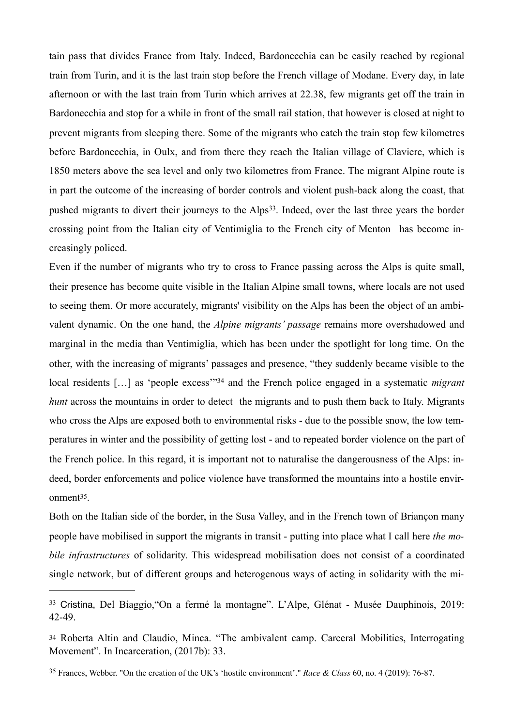tain pass that divides France from Italy. Indeed, Bardonecchia can be easily reached by regional train from Turin, and it is the last train stop before the French village of Modane. Every day, in late afternoon or with the last train from Turin which arrives at 22.38, few migrants get off the train in Bardonecchia and stop for a while in front of the small rail station, that however is closed at night to prevent migrants from sleeping there. Some of the migrants who catch the train stop few kilometres before Bardonecchia, in Oulx, and from there they reach the Italian village of Claviere, which is 1850 meters above the sea level and only two kilometres from France. The migrant Alpine route is in part the outcome of the increasing of border controls and violent push-back along the coast, that pushed migrants to divert their journeys to the Alps<sup>33</sup>[.](#page-10-0) Indeed, over the last three years the border crossing point from the Italian city of Ventimiglia to the French city of Menton has become increasingly policed.

<span id="page-10-4"></span><span id="page-10-3"></span>Even if the number of migrants who try to cross to France passing across the Alps is quite small, their presence has become quite visible in the Italian Alpine small towns, where locals are not used to seeing them. Or more accurately, migrants' visibility on the Alps has been the object of an ambivalent dynamic. On the one hand, the *Alpine migrants' passage* remains more overshadowed and marginal in the media than Ventimiglia, which has been under the spotlight for long time. On the other, with the increasing of migrants' passages and presence, "they suddenly became visible to the local residents [...] as 'people excess'<sup>34</sup> and the French police engaged in a systematic *migrant hunt* across the mountains in order to detect the migrants and to push them back to Italy. Migrants who cross the Alps are exposed both to environmental risks - due to the possible snow, the low temperatures in winter and the possibility of getting lost - and to repeated border violence on the part of the French police. In this regard, it is important not to naturalise the dangerousness of the Alps: indeed, border enforcements and police violence have transformed the mountains into a hostile environment[35.](#page-10-2)

<span id="page-10-5"></span>Both on the Italian side of the border, in the Susa Valley, and in the French town of Briançon many people have mobilised in support the migrants in transit - putting into place what I call here *the mobile infrastructures* of solidarity. This widespread mobilisation does not consist of a coordinated single network, but of different groups and heterogenous ways of acting in solidarity with the mi-

<span id="page-10-0"></span><sup>&</sup>lt;sup>[33](#page-10-3)</sup> Cristina, Del Biaggio, "On a fermé la montagne". L'Alpe, Glénat - Musée Dauphinois, 2019: 42-49.

<span id="page-10-1"></span>[<sup>34</sup>](#page-10-4) Roberta Altin and Claudio, Minca. "The ambivalent camp. Carceral Mobilities, Interrogating Movement". In Incarceration, (2017b): 33.

<span id="page-10-2"></span>Frances, Webber. "On the creation of the UK's 'hostile environment'." *Race & Class* 60, no. 4 (2019): 76-87. [35](#page-10-5)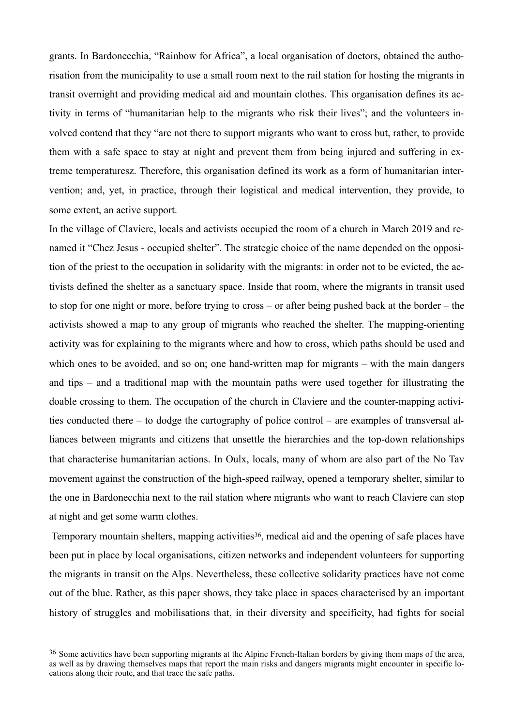grants. In Bardonecchia, "Rainbow for Africa", a local organisation of doctors, obtained the authorisation from the municipality to use a small room next to the rail station for hosting the migrants in transit overnight and providing medical aid and mountain clothes. This organisation defines its activity in terms of "humanitarian help to the migrants who risk their lives"; and the volunteers involved contend that they "are not there to support migrants who want to cross but, rather, to provide them with a safe space to stay at night and prevent them from being injured and suffering in extreme temperaturesz. Therefore, this organisation defined its work as a form of humanitarian intervention; and, yet, in practice, through their logistical and medical intervention, they provide, to some extent, an active support.

In the village of Claviere, locals and activists occupied the room of a church in March 2019 and renamed it "Chez Jesus - occupied shelter". The strategic choice of the name depended on the opposition of the priest to the occupation in solidarity with the migrants: in order not to be evicted, the activists defined the shelter as a sanctuary space. Inside that room, where the migrants in transit used to stop for one night or more, before trying to cross – or after being pushed back at the border – the activists showed a map to any group of migrants who reached the shelter. The mapping-orienting activity was for explaining to the migrants where and how to cross, which paths should be used and which ones to be avoided, and so on; one hand-written map for migrants – with the main dangers and tips – and a traditional map with the mountain paths were used together for illustrating the doable crossing to them. The occupation of the church in Claviere and the counter-mapping activities conducted there – to dodge the cartography of police control – are examples of transversal alliances between migrants and citizens that unsettle the hierarchies and the top-down relationships that characterise humanitarian actions. In Oulx, locals, many of whom are also part of the No Tav movement against the construction of the high-speed railway, opened a temporary shelter, similar to the one in Bardonecchia next to the rail station where migrants who want to reach Claviere can stop at night and get some warm clothes.

<span id="page-11-1"></span>Temporary mountain shelters[,](#page-11-0) mapping activities<sup>[36](#page-11-0)</sup>, medical aid and the opening of safe places have been put in place by local organisations, citizen networks and independent volunteers for supporting the migrants in transit on the Alps. Nevertheless, these collective solidarity practices have not come out of the blue. Rather, as this paper shows, they take place in spaces characterised by an important history of struggles and mobilisations that, in their diversity and specificity, had fights for social

<span id="page-11-0"></span><sup>&</sup>lt;sup>[36](#page-11-1)</sup> Some activities have been supporting migrants at the Alpine French-Italian borders by giving them maps of the area, as well as by drawing themselves maps that report the main risks and dangers migrants might encounter in specific locations along their route, and that trace the safe paths.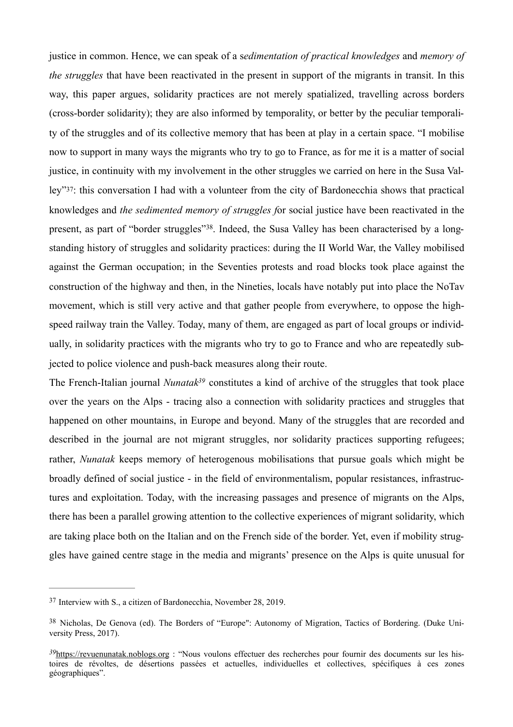<span id="page-12-3"></span>justice in common. Hence, we can speak of a s*edimentation of practical knowledges* and *memory of the struggles* that have been reactivated in the present in support of the migrants in transit. In this way, this paper argues, solidarity practices are not merely spatialized, travelling across borders (cross-border solidarity); they are also informed by temporality, or better by the peculiar temporality of the struggles and of its collective memory that has been at play in a certain space. "I mobilise now to support in many ways the migrants who try to go to France, as for me it is a matter of social justice, in continuity with my involvement in the other struggles we carried on here in the Susa Valley"[37:](#page-12-0) this conversation I had with a volunteer from the city of Bardonecchia shows that practical knowledges and *the sedimented memory of struggles f*or social justice have been reactivated in the present, as part of "border struggles"[38.](#page-12-1) Indeed, the Susa Valley has been characterised by a longstanding history of struggles and solidarity practices: during the II World War, the Valley mobilised against the German occupation; in the Seventies protests and road blocks took place against the construction of the highway and then, in the Nineties, locals have notably put into place the NoTav movement, which is still very active and that gather people from everywhere, to oppose the highspeed railway train the Valley. Today, many of them, are engaged as part of local groups or individually, in solidarity practices with the migrants who try to go to France and who are repeatedly subjected to police violence and push-back measures along their route.

<span id="page-12-5"></span><span id="page-12-4"></span>The French-Italian journal *Nunatak*<sup>[39](#page-12-2)</sup> constitutes a kind of archive of the struggles that took place over the years on the Alps - tracing also a connection with solidarity practices and struggles that happened on other mountains, in Europe and beyond. Many of the struggles that are recorded and described in the journal are not migrant struggles, nor solidarity practices supporting refugees; rather, *Nunatak* keeps memory of heterogenous mobilisations that pursue goals which might be broadly defined of social justice - in the field of environmentalism, popular resistances, infrastructures and exploitation. Today, with the increasing passages and presence of migrants on the Alps, there has been a parallel growing attention to the collective experiences of migrant solidarity, which are taking place both on the Italian and on the French side of the border. Yet, even if mobility struggles have gained centre stage in the media and migrants' presence on the Alps is quite unusual for

<span id="page-12-0"></span><sup>&</sup>lt;sup>[37](#page-12-3)</sup> Interview with S., a citizen of Bardonecchia, November 28, 2019.

<span id="page-12-1"></span><sup>&</sup>lt;sup>[38](#page-12-4)</sup> Nicholas, De Genova (ed). The Borders of "Europe": Autonomy of Migration, Tactics of Bordering. (Duke University Press, 2017).

<span id="page-12-2"></span><sup>39</sup> <https://revuenunatak.noblogs.org> : "Nous voulons effectuer des recherches pour fournir des documents sur les histoires de révoltes, de désertions passées et actuelles, individuelles et collectives, spécifiques à ces zones géographiques".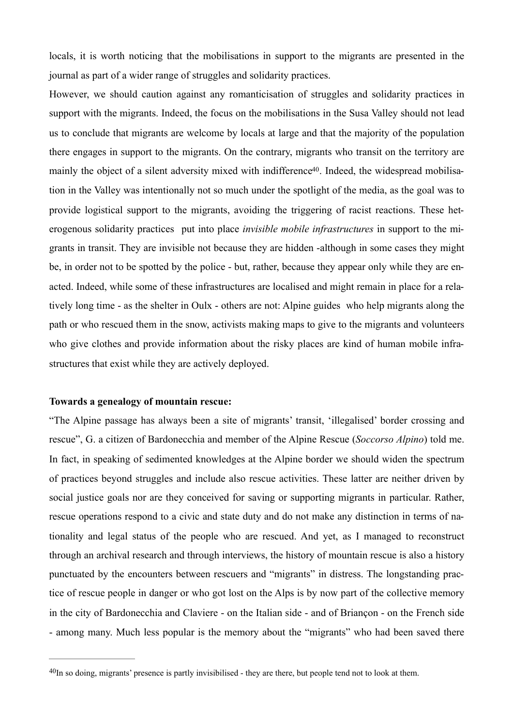locals, it is worth noticing that the mobilisations in support to the migrants are presented in the journal as part of a wider range of struggles and solidarity practices.

<span id="page-13-1"></span>However, we should caution against any romanticisation of struggles and solidarity practices in support with the migrants. Indeed, the focus on the mobilisations in the Susa Valley should not lead us to conclude that migrants are welcome by locals at large and that the majority of the population there engages in support to the migrants. On the contrary, migrants who transit on the territory are mainly the object of a silent adversity mixed with indifference<sup>[40](#page-13-0)</sup>. Indeed, the widespread mobilisation in the Valley was intentionally not so much under the spotlight of the media, as the goal was to provide logistical support to the migrants, avoiding the triggering of racist reactions. These heterogenous solidarity practices put into place *invisible mobile infrastructures* in support to the migrants in transit. They are invisible not because they are hidden -although in some cases they might be, in order not to be spotted by the police - but, rather, because they appear only while they are enacted. Indeed, while some of these infrastructures are localised and might remain in place for a relatively long time - as the shelter in Oulx - others are not: Alpine guides who help migrants along the path or who rescued them in the snow, activists making maps to give to the migrants and volunteers who give clothes and provide information about the risky places are kind of human mobile infrastructures that exist while they are actively deployed.

#### **Towards a genealogy of mountain rescue:**

"The Alpine passage has always been a site of migrants' transit, 'illegalised' border crossing and rescue", G. a citizen of Bardonecchia and member of the Alpine Rescue (*Soccorso Alpino*) told me. In fact, in speaking of sedimented knowledges at the Alpine border we should widen the spectrum of practices beyond struggles and include also rescue activities. These latter are neither driven by social justice goals nor are they conceived for saving or supporting migrants in particular. Rather, rescue operations respond to a civic and state duty and do not make any distinction in terms of nationality and legal status of the people who are rescued. And yet, as I managed to reconstruct through an archival research and through interviews, the history of mountain rescue is also a history punctuated by the encounters between rescuers and "migrants" in distress. The longstanding practice of rescue people in danger or who got lost on the Alps is by now part of the collective memory in the city of Bardonecchia and Claviere - on the Italian side - and of Briançon - on the French side - among many. Much less popular is the memory about the "migrants" who had been saved there

<span id="page-13-0"></span> $\rm{^{40}In}$  $\rm{^{40}In}$  $\rm{^{40}In}$  so doing, migrants' presence is partly invisibilised - they are there, but people tend not to look at them.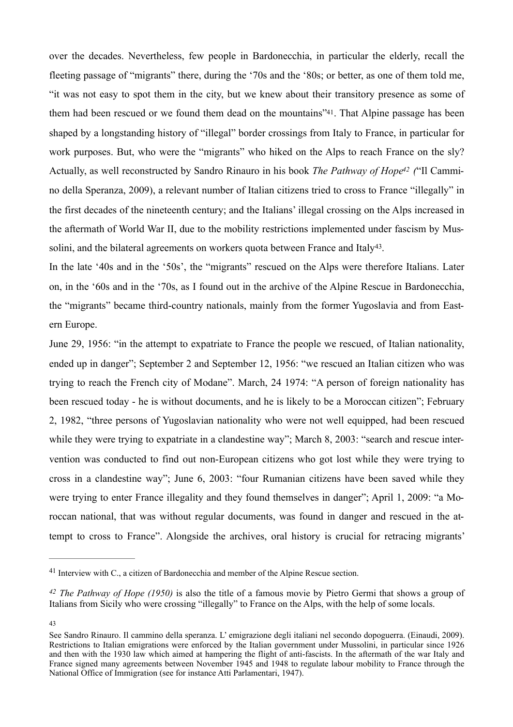<span id="page-14-3"></span>over the decades. Nevertheless, few people in Bardonecchia, in particular the elderly, recall the fleeting passage of "migrants" there, during the '70s and the '80s; or better, as one of them told me, "it was not easy to spot them in the city, but we knew about their transitory presence as some of them had been rescued or we found them dead on the mountains["41](#page-14-0). That Alpine passage has been shaped by a longstanding history of "illegal" border crossings from Italy to France, in particular for work purposes. But, who were the "migrants" who hiked on the Alps to reach France on the sly? Actually, as w[e](#page-14-1)ll reconstructed by Sandro Rinauro in his book *The Pathway of Hope<sup>42</sup>* ("Il Cammino della Speranza, 2009), a relevant number of Italian citizens tried to cross to France "illegally" in the first decades of the nineteenth century; and the Italians' illegal crossing on the Alps increased in the aftermath of World War II, due to the mobility restrictions implemented under fascism by Mus-solini, and the bilateral agreements on workers quota between France and Italy<sup>43</sup>[.](#page-14-2)

<span id="page-14-5"></span><span id="page-14-4"></span>In the late '40s and in the '50s', the "migrants" rescued on the Alps were therefore Italians. Later on, in the '60s and in the '70s, as I found out in the archive of the Alpine Rescue in Bardonecchia, the "migrants" became third-country nationals, mainly from the former Yugoslavia and from Eastern Europe.

June 29, 1956: "in the attempt to expatriate to France the people we rescued, of Italian nationality, ended up in danger"; September 2 and September 12, 1956: "we rescued an Italian citizen who was trying to reach the French city of Modane". March, 24 1974: "A person of foreign nationality has been rescued today - he is without documents, and he is likely to be a Moroccan citizen"; February 2, 1982, "three persons of Yugoslavian nationality who were not well equipped, had been rescued while they were trying to expatriate in a clandestine way"; March 8, 2003: "search and rescue intervention was conducted to find out non-European citizens who got lost while they were trying to cross in a clandestine way"; June 6, 2003: "four Rumanian citizens have been saved while they were trying to enter France illegality and they found themselves in danger"; April 1, 2009: "a Moroccan national, that was without regular documents, was found in danger and rescued in the attempt to cross to France". Alongside the archives, oral history is crucial for retracing migrants'

<span id="page-14-0"></span><sup>&</sup>lt;sup>[41](#page-14-3)</sup> Interview with C., a citizen of Bardonecchia and member of the Alpine Rescue section.

<span id="page-14-1"></span>*The Pathway of Hope (1950)* is also the title of a famous movie by Pietro Germi that shows a group of *[42](#page-14-4)* Italians from Sicily who were crossing "illegally" to France on the Alps, with the help of some locals.

<span id="page-14-2"></span>[43](#page-14-5)

See Sandro Rinauro. Il cammino della speranza. L' emigrazione degli italiani nel secondo dopoguerra. (Einaudi, 2009). Restrictions to Italian emigrations were enforced by the Italian government under Mussolini, in particular since 1926 and then with the 1930 law which aimed at hampering the flight of anti-fascists. In the aftermath of the war Italy and France signed many agreements between November 1945 and 1948 to regulate labour mobility to France through the National Office of Immigration (see for instance Atti Parlamentari, 1947).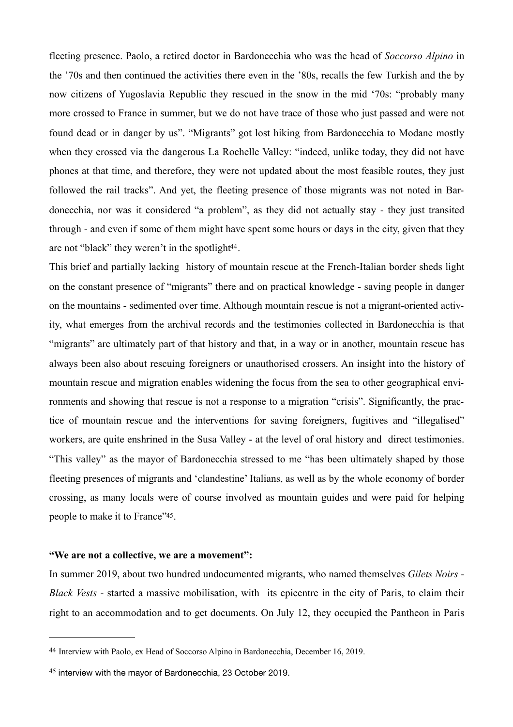fleeting presence. Paolo, a retired doctor in Bardonecchia who was the head of *Soccorso Alpino* in the '70s and then continued the activities there even in the '80s, recalls the few Turkish and the by now citizens of Yugoslavia Republic they rescued in the snow in the mid '70s: "probably many more crossed to France in summer, but we do not have trace of those who just passed and were not found dead or in danger by us". "Migrants" got lost hiking from Bardonecchia to Modane mostly when they crossed via the dangerous La Rochelle Valley: "indeed, unlike today, they did not have phones at that time, and therefore, they were not updated about the most feasible routes, they just followed the rail tracks". And yet, the fleeting presence of those migrants was not noted in Bardonecchia, nor was it considered "a problem", as they did not actually stay - they just transited through - and even if some of them might have spent some hours or days in the city, given that they are not "black" they weren't in the spotlight<sup>[44](#page-15-0)</sup>.

<span id="page-15-2"></span>This brief and partially lacking history of mountain rescue at the French-Italian border sheds light on the constant presence of "migrants" there and on practical knowledge - saving people in danger on the mountains - sedimented over time. Although mountain rescue is not a migrant-oriented activity, what emerges from the archival records and the testimonies collected in Bardonecchia is that "migrants" are ultimately part of that history and that, in a way or in another, mountain rescue has always been also about rescuing foreigners or unauthorised crossers. An insight into the history of mountain rescue and migration enables widening the focus from the sea to other geographical environments and showing that rescue is not a response to a migration "crisis". Significantly, the practice of mountain rescue and the interventions for saving foreigners, fugitives and "illegalised" workers, are quite enshrined in the Susa Valley - at the level of oral history and direct testimonies. "This valley" as the mayor of Bardonecchia stressed to me "has been ultimately shaped by those fleeting presences of migrants and 'clandestine' Italians, as well as by the whole economy of border crossing, as many locals were of course involved as mountain guides and were paid for helping people to make it to France["45](#page-15-1).

#### <span id="page-15-3"></span>**"We are not a collective, we are a movement":**

In summer 2019, about two hundred undocumented migrants, who named themselves *Gilets Noirs* - *Black Vests* - started a massive mobilisation, with its epicentre in the city of Paris, to claim their right to an accommodation and to get documents. On July 12, they occupied the Pantheon in Paris

<span id="page-15-0"></span>[<sup>44</sup>](#page-15-2) Interview with Paolo, ex Head of Soccorso Alpino in Bardonecchia, December 16, 2019.

<span id="page-15-1"></span> $45$  interview with the mayor of Bardonecchia, 23 October 2019.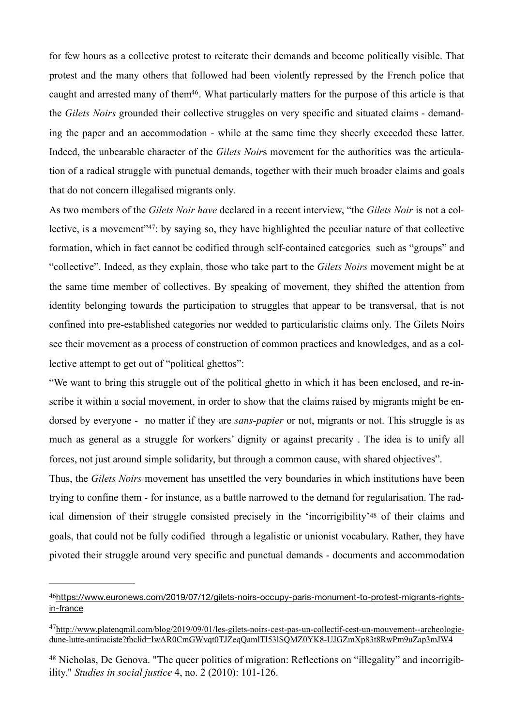<span id="page-16-3"></span>for few hours as a collective protest to reiterate their demands and become politically visible. That protest and the many others that followed had been violently repressed by the French police that caught and arrested many of them<sup>[46](#page-16-0)</sup>. What particularly matters for the purpose of this article is that the *Gilets Noirs* grounded their collective struggles on very specific and situated claims - demanding the paper and an accommodation - while at the same time they sheerly exceeded these latter. Indeed, the unbearable character of the *Gilets Noir*s movement for the authorities was the articulation of a radical struggle with punctual demands, together with their much broader claims and goals that do not concern illegalised migrants only.

<span id="page-16-4"></span>As two members of the *Gilets Noir have* declared in a recent interview, "the *Gilets Noir* is not a col-lective, is a movement"<sup>47</sup>[:](#page-16-1) by saying so, they have highlighted the peculiar nature of that collective formation, which in fact cannot be codified through self-contained categories such as "groups" and "collective". Indeed, as they explain, those who take part to the *Gilets Noirs* movement might be at the same time member of collectives. By speaking of movement, they shifted the attention from identity belonging towards the participation to struggles that appear to be transversal, that is not confined into pre-established categories nor wedded to particularistic claims only. The Gilets Noirs see their movement as a process of construction of common practices and knowledges, and as a collective attempt to get out of "political ghettos":

"We want to bring this struggle out of the political ghetto in which it has been enclosed, and re-inscribe it within a social movement, in order to show that the claims raised by migrants might be endorsed by everyone - no matter if they are *sans-papier* or not, migrants or not. This struggle is as much as general as a struggle for workers' dignity or against precarity . The idea is to unify all forces, not just around simple solidarity, but through a common cause, with shared objectives".

<span id="page-16-5"></span>Thus, the *Gilets Noirs* movement has unsettled the very boundaries in which institutions have been trying to confine them - for instance, as a battle narrowed to the demand for regularisation. The radical dimension of their struggle consisted precisely in the 'incorrigibility'[48](#page-16-2) of their claims and goals, that could not be fully codified through a legalistic or unionist vocabulary. Rather, they have pivoted their struggle around very specific and punctual demands - documents and accommodation

<span id="page-16-0"></span>[<sup>46</sup>](#page-16-3)[https://www.euronews.com/2019/07/12/gilets-noirs-occupy-paris-monument-to-protest-migrants-rights](https://www.euronews.com/2019/07/12/gilets-noirs-occupy-paris-monument-to-protest-migrants-rights-in-france)[in-france](https://www.euronews.com/2019/07/12/gilets-noirs-occupy-paris-monument-to-protest-migrants-rights-in-france)

<span id="page-16-1"></span><sup>&</sup>lt;sup>47</sup>[http://www.platenqmil.com/blog/2019/09/01/les-gilets-noirs-cest-pas-un-collectif-cest-un-mouvement--archeologie](http://www.platenqmil.com/blog/2019/09/01/les-gilets-noirs-cest-pas-un-collectif-cest-un-mouvement--archeologie-dune-lutte-antiraciste?fbclid=IwAR0CmGWvqt0TJZeqQamlTI53lSQMZ0YK8-UJGZmXp83t8RwPm9uZap3mJW4) [dune-lutte-antiraciste?fbclid=IwAR0CmGWvqt0TJZeqQamlTI53lSQMZ0YK8-UJGZmXp83t8RwPm9uZap3mJW4](http://www.platenqmil.com/blog/2019/09/01/les-gilets-noirs-cest-pas-un-collectif-cest-un-mouvement--archeologie-dune-lutte-antiraciste?fbclid=IwAR0CmGWvqt0TJZeqQamlTI53lSQMZ0YK8-UJGZmXp83t8RwPm9uZap3mJW4)

<span id="page-16-2"></span>[<sup>48</sup>](#page-16-5) Nicholas, De Genova. "The queer politics of migration: Reflections on "illegality" and incorrigibility." *Studies in social justice* 4, no. 2 (2010): 101-126.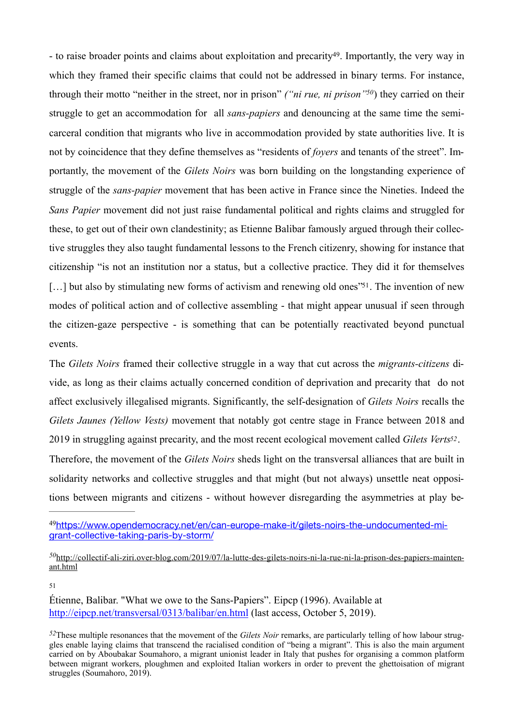<span id="page-17-5"></span><span id="page-17-4"></span>- to raise broader points and claims about exploitation and precarity  $49$ . Importantly, the very way in which they framed their specific claims that could not be addressed in binary terms. For instance, through their motto "neither in the street, nor in prison" *("ni rue, ni prison"*<sup>[50](#page-17-1)</sup>) they carried on their struggle to get an accommodation for all *sans-papiers* and denouncing at the same time the semicarceral condition that migrants who live in accommodation provided by state authorities live. It is not by coincidence that they define themselves as "residents of *foyers* and tenants of the street". Importantly, the movement of the *Gilets Noirs* was born building on the longstanding experience of struggle of the *sans-papier* movement that has been active in France since the Nineties. Indeed the *Sans Papier* movement did not just raise fundamental political and rights claims and struggled for these, to get out of their own clandestinity; as Etienne Balibar famously argued through their collective struggles they also taught fundamental lessons to the French citizenry, showing for instance that citizenship "is not an institution nor a status, but a collective practice. They did it for themselves  $[\dots]$  but also by stimulating new forms of activism and renewing old ones<sup>"[51](#page-17-2)</sup>. The invention of new modes of political action and of collective assembling - that might appear unusual if seen through the citizen-gaze perspective - is something that can be potentially reactivated beyond punctual events.

<span id="page-17-6"></span>The *Gilets Noirs* framed their collective struggle in a way that cut across the *migrants-citizens* divide, as long as their claims actually concerned condition of deprivation and precarity that do not affect exclusively illegalised migrants. Significantly, the self-designation of *Gilets Noirs* recalls the *Gilets Jaunes (Yellow Vests)* movement that notably got centre stage in France between 2018 and 2019 in struggling against precarity, and the most recent ecological movement called *Gilets Vert[s52](#page-17-3)*. Therefore, the movement of the *Gilets Noirs* sheds light on the transversal alliances that are built in solidarity networks and collective struggles and that might (but not always) unsettle neat opposi-

<span id="page-17-7"></span>tions between migrants and citizens - without however disregarding the asymmetries at play be-

<span id="page-17-2"></span>[51](#page-17-6)

Étienne, Balibar. "What we owe to the Sans-Papiers". Eipcp (1996). Available at <http://eipcp.net/transversal/0313/balibar/en.html> (last access, October 5, 2019).

<span id="page-17-0"></span><sup>49</sup>[https://www.opendemocracy.net/en/can-europe-make-it/gilets-noirs-the-undocumented-mi](https://www.opendemocracy.net/en/can-europe-make-it/gilets-noirs-the-undocumented-migrant-collective-taking-paris-by-storm/)[grant-collective-taking-paris-by-storm/](https://www.opendemocracy.net/en/can-europe-make-it/gilets-noirs-the-undocumented-migrant-collective-taking-paris-by-storm/)

<span id="page-17-1"></span>[http://collectif-ali-ziri.over-blog.com/2019/07/la-lutte-des-gilets-noirs-ni-la-rue-ni-la-prison-des-papiers-mainten](http://collectif-ali-ziri.over-blog.com/2019/07/la-lutte-des-gilets-noirs-ni-la-rue-ni-la-prison-des-papiers-maintenant.html) *[50](#page-17-5)* [ant.html](http://collectif-ali-ziri.over-blog.com/2019/07/la-lutte-des-gilets-noirs-ni-la-rue-ni-la-prison-des-papiers-maintenant.html)

<span id="page-17-3"></span>[<sup>52</sup>](#page-17-7) These multiple resonances that the movement of the *Gilets Noir* remarks, are particularly telling of how labour struggles enable laying claims that transcend the racialised condition of "being a migrant". This is also the main argument carried on by Aboubakar Soumahoro, a migrant unionist leader in Italy that pushes for organising a common platform between migrant workers, ploughmen and exploited Italian workers in order to prevent the ghettoisation of migrant struggles (Soumahoro, 2019).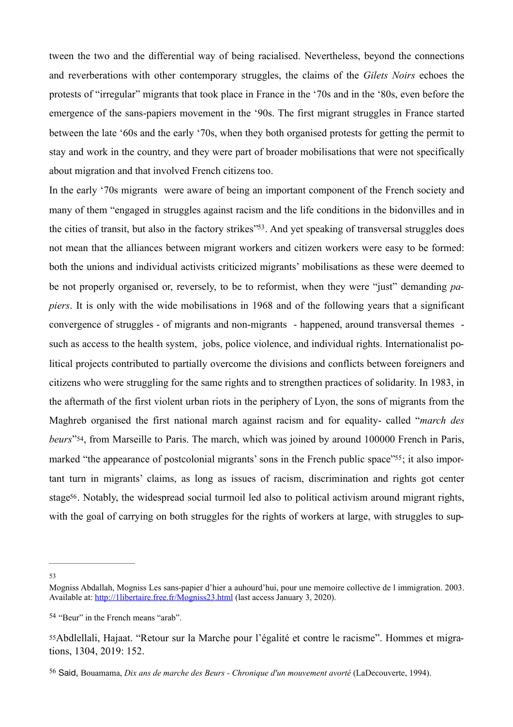tween the two and the differential way of being racialised. Nevertheless, beyond the connections and reverberations with other contemporary struggles, the claims of the *Gilets Noirs* echoes the protests of "irregular" migrants that took place in France in the '70s and in the '80s, even before the emergence of the sans-papiers movement in the '90s. The first migrant struggles in France started between the late '60s and the early '70s, when they both organised protests for getting the permit to stay and work in the country, and they were part of broader mobilisations that were not specifically about migration and that involved French citizens too.

<span id="page-18-4"></span>In the early '70s migrants were aware of being an important component of the French society and many of them "engaged in struggles against racism and the life conditions in the bidonvilles and in the cities of transit, but also in the factory strikes"<sup>[53](#page-18-0)</sup>. And yet speaking of transversal struggles does not mean that the alliances between migrant workers and citizen workers were easy to be formed: both the unions and individual activists criticized migrants' mobilisations as these were deemed to be not properly organised or, reversely, to be to reformist, when they were "just" demanding *papiers*. It is only with the wide mobilisations in 1968 and of the following years that a significant convergence of struggles - of migrants and non-migrants - happened, around transversal themes such as access to the health system, jobs, police violence, and individual rights. Internationalist political projects contributed to partially overcome the divisions and conflicts between foreigners and citizens who were struggling for the same rights and to strengthen practices of solidarity. In 1983, in the aftermath of the first violent urban riots in the periphery of Lyon, the sons of migrants from the Maghreb organised the first national march against racism and for equality- called "*march des beurs*"[54,](#page-18-1) from Marseille to Paris. The march, which was joined by around 100000 French in Paris, marked "the appearance of postcolonial migrants' sons in the French public space"<sup>[55](#page-18-2)</sup>; it also important turn in migrants' claims, as long as issues of racism, discrimination and rights got center stag[e56](#page-18-3). Notably, the widespread social turmoil led also to political activism around migrant rights, with the goal of carrying on both struggles for the rights of workers at large, with struggles to sup-

<span id="page-18-7"></span><span id="page-18-6"></span><span id="page-18-5"></span><span id="page-18-0"></span>Mogniss Abdallah, Mogniss Les sans-papier d'hier a auhourd'hui, pour une memoire collective de l immigration. 2003. Available at:<http://1libertaire.free.fr/Mogniss23.html> (last access January 3, 2020).

<span id="page-18-1"></span>[<sup>54</sup>](#page-18-5) "Beur" in the French means "arab".

<span id="page-18-2"></span>[<sup>55</sup>](#page-18-6)Abdlellali, Hajaat. "Retour sur la Marche pour l'égalité et contre le racisme". Hommes et migrations, 1304, 2019: 152.

<span id="page-18-3"></span>Said, Bouamama, *Dix ans de marche des Beurs - Chronique d'un mouvement avorté* (LaDecouverte, 1994). [56](#page-18-7)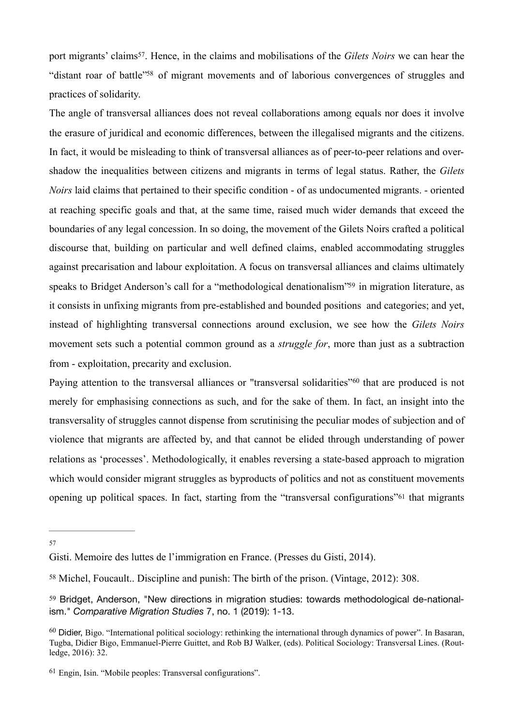<span id="page-19-6"></span><span id="page-19-5"></span>port migrants' claims<sup>[57](#page-19-0)</sup>. Hence, in the claims and mobilisations of the *Gilets Noirs* we can hear the ["](#page-19-1)distant roar of battle<sup>"[58](#page-19-1)</sup> of migrant movements and of laborious convergences of struggles and practices of solidarity.

The angle of transversal alliances does not reveal collaborations among equals nor does it involve the erasure of juridical and economic differences, between the illegalised migrants and the citizens. In fact, it would be misleading to think of transversal alliances as of peer-to-peer relations and overshadow the inequalities between citizens and migrants in terms of legal status. Rather, the *Gilets Noirs* laid claims that pertained to their specific condition - of as undocumented migrants. - oriented at reaching specific goals and that, at the same time, raised much wider demands that exceed the boundaries of any legal concession. In so doing, the movement of the Gilets Noirs crafted a political discourse that, building on particular and well defined claims, enabled accommodating struggles against precarisation and labour exploitation. A focus on transversal alliances and claims ultimately speaks to Bridget Anderson's call for a ["](#page-19-2)methodological denationalism"<sup>[59](#page-19-2)</sup> in migration literature, as it consists in unfixing migrants from pre-established and bounded positions and categories; and yet, instead of highlighting transversal connections around exclusion, we see how the *Gilets Noirs* movement sets such a potential common ground as a *struggle for*, more than just as a subtraction from - exploitation, precarity and exclusion.

<span id="page-19-8"></span><span id="page-19-7"></span>Payingattention to the transversal alliances or "transversal solidarities"<sup>[60](#page-19-3)</sup> that are produced is not merely for emphasising connections as such, and for the sake of them. In fact, an insight into the transversality of struggles cannot dispense from scrutinising the peculiar modes of subjection and of violence that migrants are affected by, and that cannot be elided through understanding of power relations as 'processes'. Methodologically, it enables reversing a state-based approach to migration which would consider migrant struggles as byproducts of politics and not as constituent movements opening up political spaces. In fact, starting from the "transversal configurations"[61](#page-19-4) that migrants

<span id="page-19-9"></span><span id="page-19-0"></span>Gisti. Memoire des luttes de l'immigration en France. (Presses du Gisti, 2014).

<span id="page-19-1"></span><sup>&</sup>lt;sup>[58](#page-19-6)</sup> Michel, Foucault.. Discipline and punish: The birth of the prison. (Vintage, 2012): 308.

<span id="page-19-2"></span>[<sup>59</sup>](#page-19-7) Bridget, Anderson, "New directions in migration studies: towards methodological de-nationalism." *Comparative Migration Studies* 7, no. 1 (2019): 1-13.

<span id="page-19-3"></span> $60$  Didier, Bigo. "International political sociology: rethinking the international through dynamics of power". In Basaran, Tugba, Didier Bigo, Emmanuel-Pierre Guittet, and Rob BJ Walker, (eds). Political Sociology: Transversal Lines. (Routledge, 2016): 32.

<span id="page-19-4"></span> $61$  Engin, Isin. "Mobile peoples: Transversal configurations".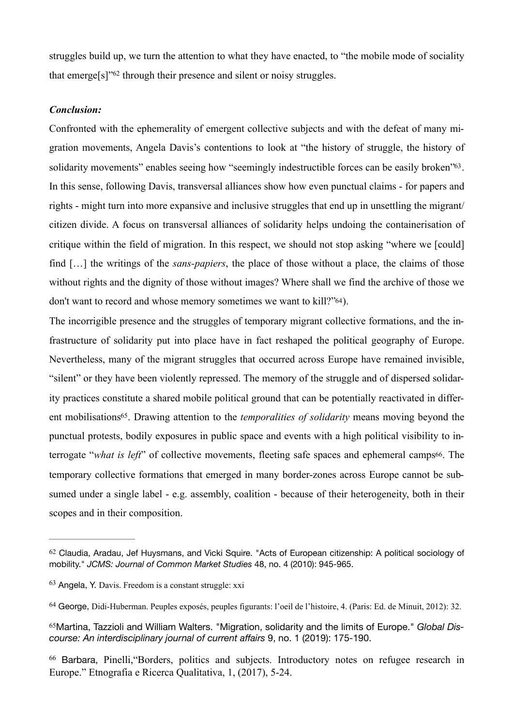<span id="page-20-5"></span>struggles build up, we turn the attention to what they have enacted, to "the mobile mode of sociality that emerge<sup>[s]["](#page-20-0) $62$ </sup> through their presence and silent or noisy struggles.

### *Conclusion:*

<span id="page-20-6"></span>Confronted with the ephemerality of emergent collective subjects and with the defeat of many migration movements, Angela Davis's contentions to look at "the history of struggle, the history of solidarity movements" enables seeing how "seemingly indestructible forces can be easily broken"<sup>[63](#page-20-1)</sup>. In this sense, following Davis, transversal alliances show how even punctual claims - for papers and rights - might turn into more expansive and inclusive struggles that end up in unsettling the migrant/ citizen divide. A focus on transversal alliances of solidarity helps undoing the containerisation of critique within the field of migration. In this respect, we should not stop asking "where we [could] find […] the writings of the *sans-papiers*, the place of those without a place, the claims of those without rights and the dignity of those without images? Where shall we find the archive of those we don't want to record and whose memory sometimes we want to kill?["64](#page-20-2)).

<span id="page-20-8"></span><span id="page-20-7"></span>The incorrigible presence and the struggles of temporary migrant collective formations, and the infrastructure of solidarity put into place have in fact reshaped the political geography of Europe. Nevertheless, many of the migrant struggles that occurred across Europe have remained invisible, "silent" or they have been violently repressed. The memory of the struggle and of dispersed solidarity practices constitute a shared mobile political ground that can be potentially reactivated in differ-ent mobilisations<sup>[65](#page-20-3)</sup>. Drawing attention to the *temporalities of solidarity* means moving beyond the punctual protests, bodily exposures in public space and events with a high political visibility to interrogate "*what is left*" of collective movements, fleeting safe spaces and ephemeral camp[s66](#page-20-4). The temporary collective formations that emerged in many border-zones across Europe cannot be subsumed under a single label - e.g. assembly, coalition - because of their heterogeneity, both in their scopes and in their composition.

<span id="page-20-9"></span><span id="page-20-0"></span>[<sup>62</sup>](#page-20-5) Claudia, Aradau, Jef Huysmans, and Vicki Squire. "Acts of European citizenship: A political sociology of mobility." *JCMS: Journal of Common Market Studies* 48, no. 4 (2010): 945-965.

<span id="page-20-1"></span> $63$  Angela, Y. Davis. Freedom is a constant struggle: xxi

<span id="page-20-2"></span><sup>&</sup>lt;sup>[64](#page-20-7)</sup> George, Didi-Huberman. Peuples exposés, peuples figurants: l'oeil de l'histoire, 4. (Paris: Ed. de Minuit, 2012): 32.

<span id="page-20-3"></span><sup>&</sup>lt;sup>[65](#page-20-8)</sup> Martina, Tazzioli and William Walters. "Migration, solidarity and the limits of Europe." *Global Discourse: An interdisciplinary journal of current affairs* 9, no. 1 (2019): 175-190.

<span id="page-20-4"></span><sup>&</sup>lt;sup>[66](#page-20-9)</sup> Barbara, Pinelli, "Borders, politics and subjects. Introductory notes on refugee research in Europe." Etnografia e Ricerca Qualitativa, 1, (2017), 5-24.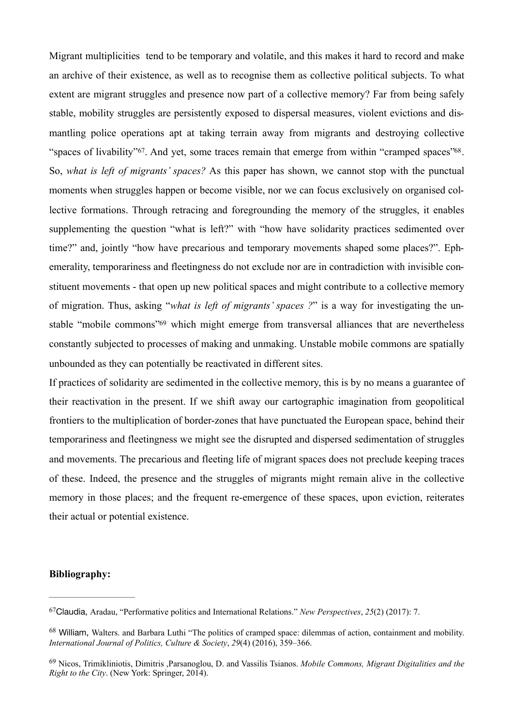<span id="page-21-4"></span><span id="page-21-3"></span>Migrant multiplicities tend to be temporary and volatile, and this makes it hard to record and make an archive of their existence, as well as to recognise them as collective political subjects. To what extent are migrant struggles and presence now part of a collective memory? Far from being safely stable, mobility struggles are persistently exposed to dispersal measures, violent evictions and dismantling police operations apt at taking terrain away from migrants and destroying collective "spaces of livability"<sup>[67](#page-21-0)</sup>. And yet, some traces remain that emerge from within "cramped spaces"<sup>68</sup>. So, *what is left of migrants' spaces?* As this paper has shown, we cannot stop with the punctual moments when struggles happen or become visible, nor we can focus exclusively on organised collective formations. Through retracing and foregrounding the memory of the struggles, it enables supplementing the question "what is left?" with "how have solidarity practices sedimented over time?" and, jointly "how have precarious and temporary movements shaped some places?". Ephemerality, temporariness and fleetingness do not exclude nor are in contradiction with invisible constituent movements - that open up new political spaces and might contribute to a collective memory of migration. Thus, asking "*what is left of migrants' spaces ?*" is a way for investigating the un-stable ["](#page-21-2)mobile commons"<sup>[69](#page-21-2)</sup> which might emerge from transversal alliances that are nevertheless constantly subjected to processes of making and unmaking. Unstable mobile commons are spatially unbounded as they can potentially be reactivated in different sites.

<span id="page-21-5"></span>If practices of solidarity are sedimented in the collective memory, this is by no means a guarantee of their reactivation in the present. If we shift away our cartographic imagination from geopolitical frontiers to the multiplication of border-zones that have punctuated the European space, behind their temporariness and fleetingness we might see the disrupted and dispersed sedimentation of struggles and movements. The precarious and fleeting life of migrant spaces does not preclude keeping traces of these. Indeed, the presence and the struggles of migrants might remain alive in the collective memory in those places; and the frequent re-emergence of these spaces, upon eviction, reiterates their actual or potential existence.

#### **Bibliography:**

<span id="page-21-0"></span><sup>&</sup>lt;sup>[67](#page-21-3)</sup>Claudia, Aradau, "Performative politics and International Relations." *New Perspectives*, 25(2) (2017): 7.

<span id="page-21-1"></span>[<sup>68</sup>](#page-21-4) William, Walters. and Barbara Luthi "The politics of cramped space: dilemmas of action, containment and mobility. *International Journal of Politics, Culture & Society*, *29*(4) (2016), 359–366.

<span id="page-21-2"></span>Nicos, Trimikliniotis, Dimitris ,Parsanoglou, D. and Vassilis Tsianos. *Mobile Commons, Migrant Digitalities and the* [69](#page-21-5) *Right to the City*. (New York: Springer, 2014).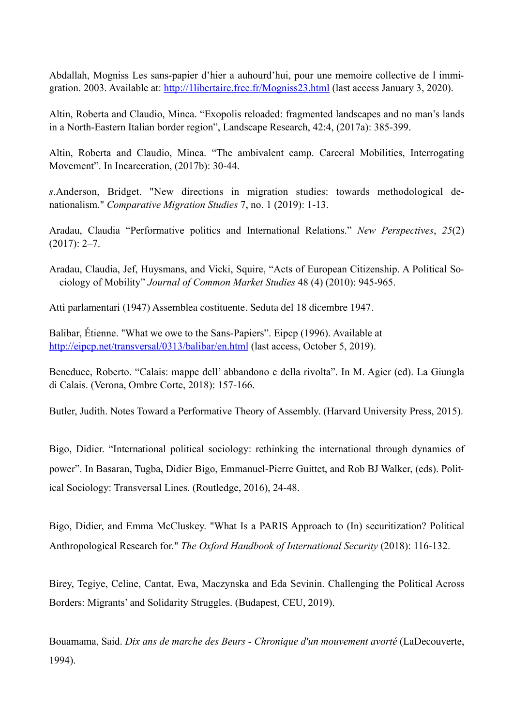Abdallah, Mogniss Les sans-papier d'hier a auhourd'hui, pour une memoire collective de l immigration. 2003. Available at:<http://1libertaire.free.fr/Mogniss23.html> (last access January 3, 2020).

Altin, Roberta and Claudio, Minca. "Exopolis reloaded: fragmented landscapes and no man's lands in a North-Eastern Italian border region", Landscape Research, 42:4, (2017a): 385-399.

Altin, Roberta and Claudio, Minca. "The ambivalent camp. Carceral Mobilities, Interrogating Movement". In Incarceration, (2017b): 30-44.

*s*.Anderson, Bridget. "New directions in migration studies: towards methodological denationalism." *Comparative Migration Studies* 7, no. 1 (2019): 1-13.

Aradau, Claudia "Performative politics and International Relations." *New Perspectives*, *25*(2)  $(2017): 2-7.$ 

Aradau, Claudia, Jef, Huysmans, and Vicki, Squire, "Acts of European Citizenship. A Political Sociology of Mobility" *Journal of Common Market Studies* 48 (4) (2010): 945-965.

Atti parlamentari (1947) Assemblea costituente. Seduta del 18 dicembre 1947.

Balibar, Étienne. "What we owe to the Sans-Papiers". Eipcp (1996). Available at <http://eipcp.net/transversal/0313/balibar/en.html> (last access, October 5, 2019).

Beneduce, Roberto. "Calais: mappe dell' abbandono e della rivolta". In M. Agier (ed). La Giungla di Calais. (Verona, Ombre Corte, 2018): 157-166.

Butler, Judith. Notes Toward a Performative Theory of Assembly. (Harvard University Press, 2015).

Bigo, Didier. "International political sociology: rethinking the international through dynamics of power". In Basaran, Tugba, Didier Bigo, Emmanuel-Pierre Guittet, and Rob BJ Walker, (eds). Political Sociology: Transversal Lines. (Routledge, 2016), 24-48.

Bigo, Didier, and Emma McCluskey. "What Is a PARIS Approach to (In) securitization? Political Anthropological Research for." *The Oxford Handbook of International Security* (2018): 116-132.

Birey, Tegiye, Celine, Cantat, Ewa, Maczynska and Eda Sevinin. Challenging the Political Across Borders: Migrants' and Solidarity Struggles. (Budapest, CEU, 2019).

Bouamama, Said. *Dix ans de marche des Beurs - Chronique d'un mouvement avorté* (LaDecouverte, 1994).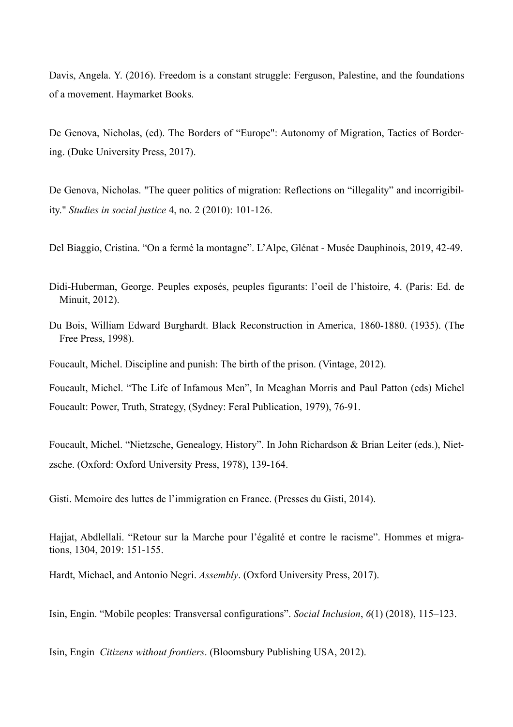Davis, Angela. Y. (2016). Freedom is a constant struggle: Ferguson, Palestine, and the foundations of a movement. Haymarket Books.

De Genova, Nicholas, (ed). The Borders of "Europe": Autonomy of Migration, Tactics of Bordering. (Duke University Press, 2017).

De Genova, Nicholas. "The queer politics of migration: Reflections on "illegality" and incorrigibility." *Studies in social justice* 4, no. 2 (2010): 101-126.

Del Biaggio, Cristina. "On a fermé la montagne". L'Alpe, Glénat - Musée Dauphinois, 2019, 42-49.

- Didi-Huberman, George. Peuples exposés, peuples figurants: l'oeil de l'histoire, 4. (Paris: Ed. de Minuit, 2012).
- Du Bois, William Edward Burghardt. Black Reconstruction in America, 1860-1880. (1935). (The Free Press, 1998).

Foucault, Michel. Discipline and punish: The birth of the prison. (Vintage, 2012).

Foucault, Michel. "The Life of Infamous Men", In Meaghan Morris and Paul Patton (eds) Michel Foucault: Power, Truth, Strategy, (Sydney: Feral Publication, 1979), 76-91.

Foucault, Michel. "Nietzsche, Genealogy, History". In John Richardson & Brian Leiter (eds.), Nietzsche. (Oxford: Oxford University Press, 1978), 139-164.

Gisti. Memoire des luttes de l'immigration en France. (Presses du Gisti, 2014).

Hajjat, Abdlellali. "Retour sur la Marche pour l'égalité et contre le racisme". Hommes et migrations, 1304, 2019: 151-155.

Hardt, Michael, and Antonio Negri. *Assembly*. (Oxford University Press, 2017).

Isin, Engin. "Mobile peoples: Transversal configurations". *Social Inclusion*, *6*(1) (2018), 115–123.

Isin, Engin *Citizens without frontiers*. (Bloomsbury Publishing USA, 2012).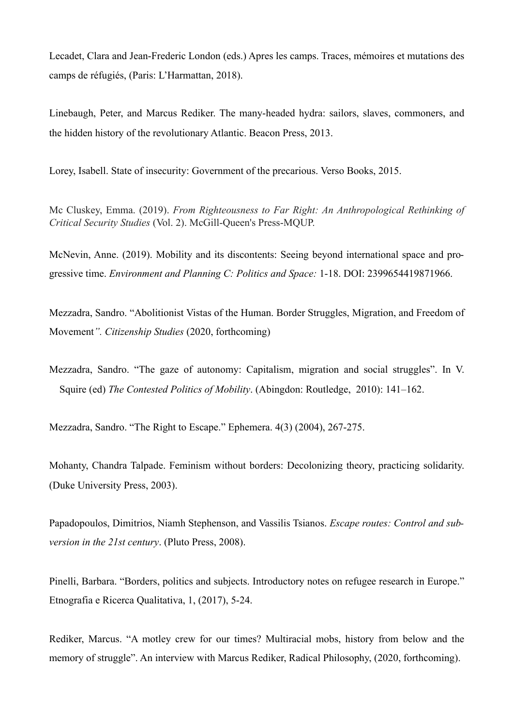Lecadet, Clara and Jean-Frederic London (eds.) Apres les camps. Traces, mémoires et mutations des camps de réfugiés, (Paris: L'Harmattan, 2018).

Linebaugh, Peter, and Marcus Rediker. The many-headed hydra: sailors, slaves, commoners, and the hidden history of the revolutionary Atlantic. Beacon Press, 2013.

Lorey, Isabell. State of insecurity: Government of the precarious. Verso Books, 2015.

Mc Cluskey, Emma. (2019). *From Righteousness to Far Right: An Anthropological Rethinking of Critical Security Studies* (Vol. 2). McGill-Queen's Press-MQUP.

McNevin, Anne. (2019). Mobility and its discontents: Seeing beyond international space and progressive time. *Environment and Planning C: Politics and Space:* 1-18. DOI: 2399654419871966.

Mezzadra, Sandro. "Abolitionist Vistas of the Human. Border Struggles, Migration, and Freedom of Movement*". Citizenship Studies* (2020, forthcoming)

Mezzadra, Sandro. "The gaze of autonomy: Capitalism, migration and social struggles". In V. Squire (ed) *The Contested Politics of Mobility*. (Abingdon: Routledge, 2010): 141–162.

Mezzadra, Sandro. "The Right to Escape." Ephemera. 4(3) (2004), 267-275.

Mohanty, Chandra Talpade. Feminism without borders: Decolonizing theory, practicing solidarity. (Duke University Press, 2003).

Papadopoulos, Dimitrios, Niamh Stephenson, and Vassilis Tsianos. *Escape routes: Control and subversion in the 21st century*. (Pluto Press, 2008).

Pinelli, Barbara. "Borders, politics and subjects. Introductory notes on refugee research in Europe." Etnografia e Ricerca Qualitativa, 1, (2017), 5-24.

Rediker, Marcus. "A motley crew for our times? Multiracial mobs, history from below and the memory of struggle". An interview with Marcus Rediker, Radical Philosophy, (2020, forthcoming).